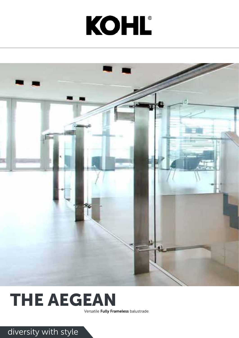# KOHL®



### THE AEGEAN

Versatile Fully Frameless balustrade.

### diversity with style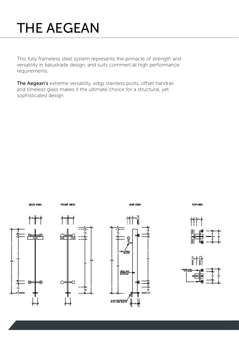This fully frameless steel system represents the pinnacle of strength and versatility in balustrade design, and suits commercial high performance requirements.

The Aegean's extreme versatility, edgy stainless posts, offset handrail and timeless glass makes it the ultimate choice for a structural, yet sophisticated design.







### THE AEGEAN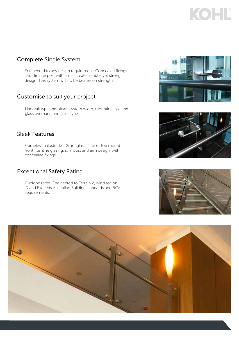#### Sleek Features

Frameless balustrade: 12mm glass, face or top mount, front flushline glazing, slim post and arm design, with concealed fixings.

#### Customise to suit your project

Handrail type and offset, system width, mounting syle and glass overhang and glass type.

#### Exceptional Safety Rating

Cyclone rated: Engineered to Terrain 2, wind region D and Exceeds Australian Building standards and BCA requirements.











## KOHL

#### Complete Single System

Engineered to any design requirement: Concealed fixings and slimline post with arms, create a subtle yet strong design. This system will no be beaten on strength.